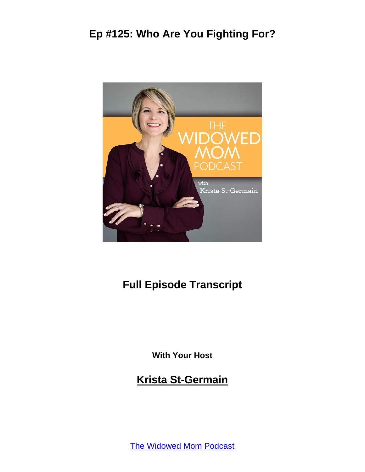

### **Full Episode Transcript**

**With Your Host**

**Krista St-Germain**

[The Widowed Mom Podcast](https://coachingwithkrista.com/podcast)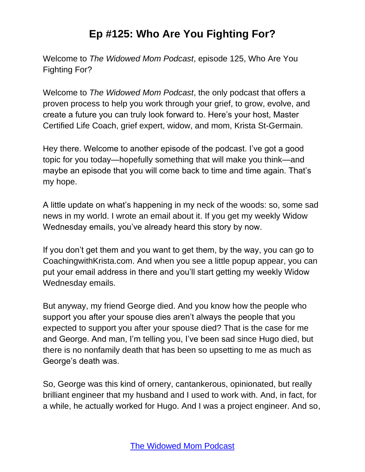Welcome to *The Widowed Mom Podcast*, episode 125, Who Are You Fighting For?

Welcome to *The Widowed Mom Podcast*, the only podcast that offers a proven process to help you work through your grief, to grow, evolve, and create a future you can truly look forward to. Here's your host, Master Certified Life Coach, grief expert, widow, and mom, Krista St-Germain.

Hey there. Welcome to another episode of the podcast. I've got a good topic for you today—hopefully something that will make you think—and maybe an episode that you will come back to time and time again. That's my hope.

A little update on what's happening in my neck of the woods: so, some sad news in my world. I wrote an email about it. If you get my weekly Widow Wednesday emails, you've already heard this story by now.

If you don't get them and you want to get them, by the way, you can go to CoachingwithKrista.com. And when you see a little popup appear, you can put your email address in there and you'll start getting my weekly Widow Wednesday emails.

But anyway, my friend George died. And you know how the people who support you after your spouse dies aren't always the people that you expected to support you after your spouse died? That is the case for me and George. And man, I'm telling you, I've been sad since Hugo died, but there is no nonfamily death that has been so upsetting to me as much as George's death was.

So, George was this kind of ornery, cantankerous, opinionated, but really brilliant engineer that my husband and I used to work with. And, in fact, for a while, he actually worked for Hugo. And I was a project engineer. And so,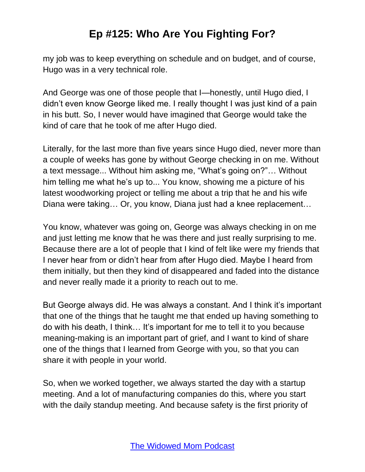my job was to keep everything on schedule and on budget, and of course, Hugo was in a very technical role.

And George was one of those people that I—honestly, until Hugo died, I didn't even know George liked me. I really thought I was just kind of a pain in his butt. So, I never would have imagined that George would take the kind of care that he took of me after Hugo died.

Literally, for the last more than five years since Hugo died, never more than a couple of weeks has gone by without George checking in on me. Without a text message... Without him asking me, "What's going on?"… Without him telling me what he's up to... You know, showing me a picture of his latest woodworking project or telling me about a trip that he and his wife Diana were taking… Or, you know, Diana just had a knee replacement…

You know, whatever was going on, George was always checking in on me and just letting me know that he was there and just really surprising to me. Because there are a lot of people that I kind of felt like were my friends that I never hear from or didn't hear from after Hugo died. Maybe I heard from them initially, but then they kind of disappeared and faded into the distance and never really made it a priority to reach out to me.

But George always did. He was always a constant. And I think it's important that one of the things that he taught me that ended up having something to do with his death, I think… It's important for me to tell it to you because meaning-making is an important part of grief, and I want to kind of share one of the things that I learned from George with you, so that you can share it with people in your world.

So, when we worked together, we always started the day with a startup meeting. And a lot of manufacturing companies do this, where you start with the daily standup meeting. And because safety is the first priority of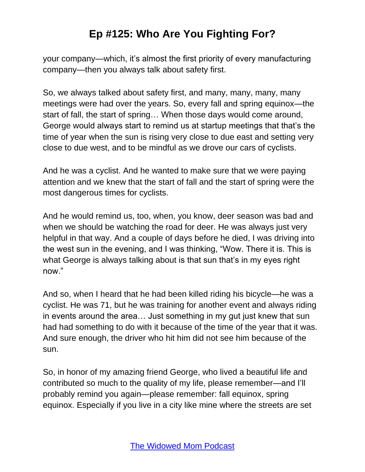your company—which, it's almost the first priority of every manufacturing company—then you always talk about safety first.

So, we always talked about safety first, and many, many, many, many meetings were had over the years. So, every fall and spring equinox—the start of fall, the start of spring… When those days would come around, George would always start to remind us at startup meetings that that's the time of year when the sun is rising very close to due east and setting very close to due west, and to be mindful as we drove our cars of cyclists.

And he was a cyclist. And he wanted to make sure that we were paying attention and we knew that the start of fall and the start of spring were the most dangerous times for cyclists.

And he would remind us, too, when, you know, deer season was bad and when we should be watching the road for deer. He was always just very helpful in that way. And a couple of days before he died, I was driving into the west sun in the evening, and I was thinking, "Wow. There it is. This is what George is always talking about is that sun that's in my eyes right now."

And so, when I heard that he had been killed riding his bicycle—he was a cyclist. He was 71, but he was training for another event and always riding in events around the area… Just something in my gut just knew that sun had had something to do with it because of the time of the year that it was. And sure enough, the driver who hit him did not see him because of the sun.

So, in honor of my amazing friend George, who lived a beautiful life and contributed so much to the quality of my life, please remember—and I'll probably remind you again—please remember: fall equinox, spring equinox. Especially if you live in a city like mine where the streets are set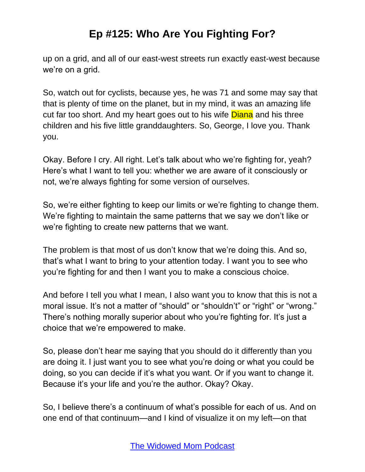up on a grid, and all of our east-west streets run exactly east-west because we're on a grid.

So, watch out for cyclists, because yes, he was 71 and some may say that that is plenty of time on the planet, but in my mind, it was an amazing life cut far too short. And my heart goes out to his wife **Diana** and his three children and his five little granddaughters. So, George, I love you. Thank you.

Okay. Before I cry. All right. Let's talk about who we're fighting for, yeah? Here's what I want to tell you: whether we are aware of it consciously or not, we're always fighting for some version of ourselves.

So, we're either fighting to keep our limits or we're fighting to change them. We're fighting to maintain the same patterns that we say we don't like or we're fighting to create new patterns that we want.

The problem is that most of us don't know that we're doing this. And so, that's what I want to bring to your attention today. I want you to see who you're fighting for and then I want you to make a conscious choice.

And before I tell you what I mean, I also want you to know that this is not a moral issue. It's not a matter of "should" or "shouldn't" or "right" or "wrong." There's nothing morally superior about who you're fighting for. It's just a choice that we're empowered to make.

So, please don't hear me saying that you should do it differently than you are doing it. I just want you to see what you're doing or what you could be doing, so you can decide if it's what you want. Or if you want to change it. Because it's your life and you're the author. Okay? Okay.

So, I believe there's a continuum of what's possible for each of us. And on one end of that continuum—and I kind of visualize it on my left—on that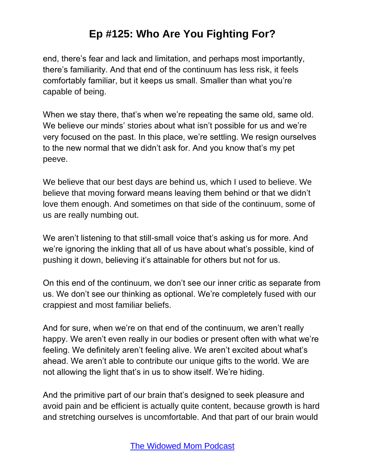end, there's fear and lack and limitation, and perhaps most importantly, there's familiarity. And that end of the continuum has less risk, it feels comfortably familiar, but it keeps us small. Smaller than what you're capable of being.

When we stay there, that's when we're repeating the same old, same old. We believe our minds' stories about what isn't possible for us and we're very focused on the past. In this place, we're settling. We resign ourselves to the new normal that we didn't ask for. And you know that's my pet peeve.

We believe that our best days are behind us, which I used to believe. We believe that moving forward means leaving them behind or that we didn't love them enough. And sometimes on that side of the continuum, some of us are really numbing out.

We aren't listening to that still-small voice that's asking us for more. And we're ignoring the inkling that all of us have about what's possible, kind of pushing it down, believing it's attainable for others but not for us.

On this end of the continuum, we don't see our inner critic as separate from us. We don't see our thinking as optional. We're completely fused with our crappiest and most familiar beliefs.

And for sure, when we're on that end of the continuum, we aren't really happy. We aren't even really in our bodies or present often with what we're feeling. We definitely aren't feeling alive. We aren't excited about what's ahead. We aren't able to contribute our unique gifts to the world. We are not allowing the light that's in us to show itself. We're hiding.

And the primitive part of our brain that's designed to seek pleasure and avoid pain and be efficient is actually quite content, because growth is hard and stretching ourselves is uncomfortable. And that part of our brain would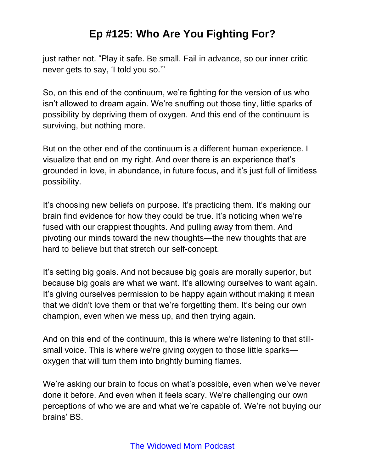just rather not. "Play it safe. Be small. Fail in advance, so our inner critic never gets to say, 'I told you so.'"

So, on this end of the continuum, we're fighting for the version of us who isn't allowed to dream again. We're snuffing out those tiny, little sparks of possibility by depriving them of oxygen. And this end of the continuum is surviving, but nothing more.

But on the other end of the continuum is a different human experience. I visualize that end on my right. And over there is an experience that's grounded in love, in abundance, in future focus, and it's just full of limitless possibility.

It's choosing new beliefs on purpose. It's practicing them. It's making our brain find evidence for how they could be true. It's noticing when we're fused with our crappiest thoughts. And pulling away from them. And pivoting our minds toward the new thoughts—the new thoughts that are hard to believe but that stretch our self-concept.

It's setting big goals. And not because big goals are morally superior, but because big goals are what we want. It's allowing ourselves to want again. It's giving ourselves permission to be happy again without making it mean that we didn't love them or that we're forgetting them. It's being our own champion, even when we mess up, and then trying again.

And on this end of the continuum, this is where we're listening to that stillsmall voice. This is where we're giving oxygen to those little sparks oxygen that will turn them into brightly burning flames.

We're asking our brain to focus on what's possible, even when we've never done it before. And even when it feels scary. We're challenging our own perceptions of who we are and what we're capable of. We're not buying our brains' BS.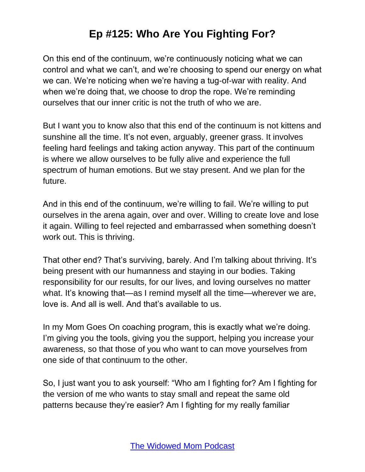On this end of the continuum, we're continuously noticing what we can control and what we can't, and we're choosing to spend our energy on what we can. We're noticing when we're having a tug-of-war with reality. And when we're doing that, we choose to drop the rope. We're reminding ourselves that our inner critic is not the truth of who we are.

But I want you to know also that this end of the continuum is not kittens and sunshine all the time. It's not even, arguably, greener grass. It involves feeling hard feelings and taking action anyway. This part of the continuum is where we allow ourselves to be fully alive and experience the full spectrum of human emotions. But we stay present. And we plan for the future.

And in this end of the continuum, we're willing to fail. We're willing to put ourselves in the arena again, over and over. Willing to create love and lose it again. Willing to feel rejected and embarrassed when something doesn't work out. This is thriving.

That other end? That's surviving, barely. And I'm talking about thriving. It's being present with our humanness and staying in our bodies. Taking responsibility for our results, for our lives, and loving ourselves no matter what. It's knowing that—as I remind myself all the time—wherever we are, love is. And all is well. And that's available to us.

In my Mom Goes On coaching program, this is exactly what we're doing. I'm giving you the tools, giving you the support, helping you increase your awareness, so that those of you who want to can move yourselves from one side of that continuum to the other.

So, I just want you to ask yourself: "Who am I fighting for? Am I fighting for the version of me who wants to stay small and repeat the same old patterns because they're easier? Am I fighting for my really familiar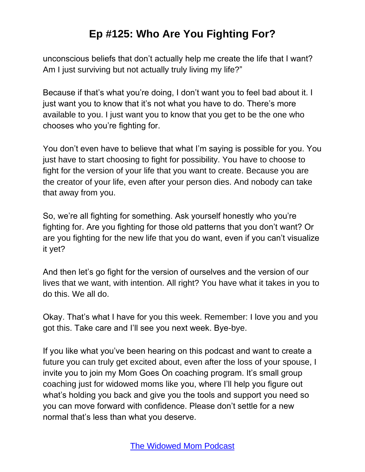unconscious beliefs that don't actually help me create the life that I want? Am I just surviving but not actually truly living my life?"

Because if that's what you're doing, I don't want you to feel bad about it. I just want you to know that it's not what you have to do. There's more available to you. I just want you to know that you get to be the one who chooses who you're fighting for.

You don't even have to believe that what I'm saying is possible for you. You just have to start choosing to fight for possibility. You have to choose to fight for the version of your life that you want to create. Because you are the creator of your life, even after your person dies. And nobody can take that away from you.

So, we're all fighting for something. Ask yourself honestly who you're fighting for. Are you fighting for those old patterns that you don't want? Or are you fighting for the new life that you do want, even if you can't visualize it yet?

And then let's go fight for the version of ourselves and the version of our lives that we want, with intention. All right? You have what it takes in you to do this. We all do.

Okay. That's what I have for you this week. Remember: I love you and you got this. Take care and I'll see you next week. Bye-bye.

If you like what you've been hearing on this podcast and want to create a future you can truly get excited about, even after the loss of your spouse, I invite you to join my Mom Goes On coaching program. It's small group coaching just for widowed moms like you, where I'll help you figure out what's holding you back and give you the tools and support you need so you can move forward with confidence. Please don't settle for a new normal that's less than what you deserve.